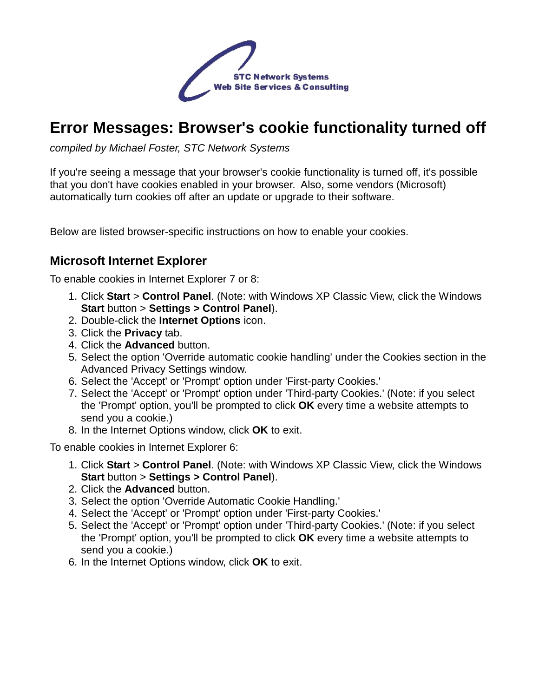

# **Error Messages: Browser's cookie functionality turned off**

compiled by Michael Foster, STC Network Systems

If you're seeing a message that your browser's cookie functionality is turned off, it's possible that you don't have cookies enabled in your browser. Also, some vendors (Microsoft) automatically turn cookies off after an update or upgrade to their software.

Below are listed browser-specific instructions on how to enable your cookies.

#### **Microsoft Internet Explorer**

To enable cookies in Internet Explorer 7 or 8:

- 1. Click **Start** > **Control Panel**. (Note: with Windows XP Classic View, click the Windows **Start** button > **Settings > Control Panel**).
- 2. Double-click the **Internet Options** icon.
- 3. Click the **Privacy** tab.
- 4. Click the **Advanced** button.
- 5. Select the option 'Override automatic cookie handling' under the Cookies section in the Advanced Privacy Settings window.
- 6. Select the 'Accept' or 'Prompt' option under 'First-party Cookies.'
- 7. Select the 'Accept' or 'Prompt' option under 'Third-party Cookies.' (Note: if you select the 'Prompt' option, you'll be prompted to click **OK** every time a website attempts to send you a cookie.)
- 8. In the Internet Options window, click **OK** to exit.

To enable cookies in Internet Explorer 6:

- 1. Click **Start** > **Control Panel**. (Note: with Windows XP Classic View, click the Windows **Start** button > **Settings > Control Panel**).
- 2. Click the **Advanced** button.
- 3. Select the option 'Override Automatic Cookie Handling.'
- 4. Select the 'Accept' or 'Prompt' option under 'First-party Cookies.'
- 5. Select the 'Accept' or 'Prompt' option under 'Third-party Cookies.' (Note: if you select the 'Prompt' option, you'll be prompted to click **OK** every time a website attempts to send you a cookie.)
- 6. In the Internet Options window, click **OK** to exit.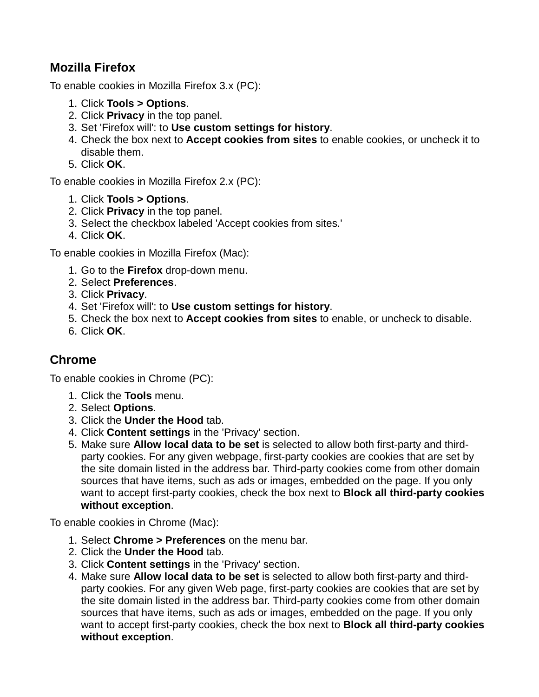#### **Mozilla Firefox**

To enable cookies in Mozilla Firefox 3.x (PC):

- 1. Click **Tools > Options**.
- 2. Click **Privacy** in the top panel.
- 3. Set 'Firefox will': to **Use custom settings for history**.
- 4. Check the box next to **Accept cookies from sites** to enable cookies, or uncheck it to disable them.
- 5. Click **OK**.

To enable cookies in Mozilla Firefox 2.x (PC):

- 1. Click **Tools > Options**.
- 2. Click **Privacy** in the top panel.
- 3. Select the checkbox labeled 'Accept cookies from sites.'
- 4. Click **OK**.

To enable cookies in Mozilla Firefox (Mac):

- 1. Go to the **Firefox** drop-down menu.
- 2. Select **Preferences**.
- 3. Click **Privacy**.
- 4. Set 'Firefox will': to **Use custom settings for history**.
- 5. Check the box next to **Accept cookies from sites** to enable, or uncheck to disable.
- 6. Click **OK**.

## **Chrome**

To enable cookies in Chrome (PC):

- 1. Click the **Tools** menu.
- 2. Select **Options**.
- 3. Click the **Under the Hood** tab.
- 4. Click **Content settings** in the 'Privacy' section.
- 5. Make sure **Allow local data to be set** is selected to allow both first-party and thirdparty cookies. For any given webpage, first-party cookies are cookies that are set by the site domain listed in the address bar. Third-party cookies come from other domain sources that have items, such as ads or images, embedded on the page. If you only want to accept first-party cookies, check the box next to **Block all third-party cookies without exception**.

To enable cookies in Chrome (Mac):

- 1. Select **Chrome > Preferences** on the menu bar.
- 2. Click the **Under the Hood** tab.
- 3. Click **Content settings** in the 'Privacy' section.
- 4. Make sure **Allow local data to be set** is selected to allow both first-party and thirdparty cookies. For any given Web page, first-party cookies are cookies that are set by the site domain listed in the address bar. Third-party cookies come from other domain sources that have items, such as ads or images, embedded on the page. If you only want to accept first-party cookies, check the box next to **Block all third-party cookies without exception**.